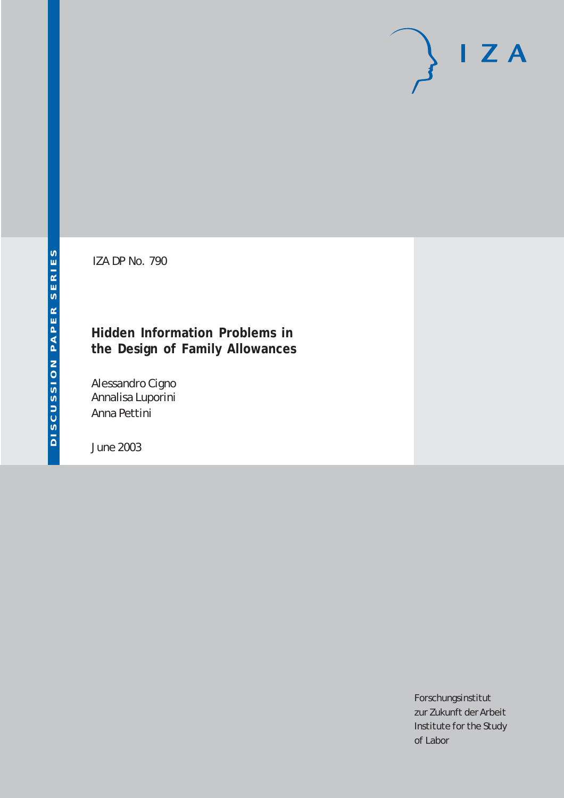# $I Z A$

IZA DP No. 790

# **Hidden Information Problems in the Design of Family Allowances**

Alessandro Cigno Annalisa Luporini Anna Pettini

June 2003

Forschungsinstitut zur Zukunft der Arbeit Institute for the Study of Labor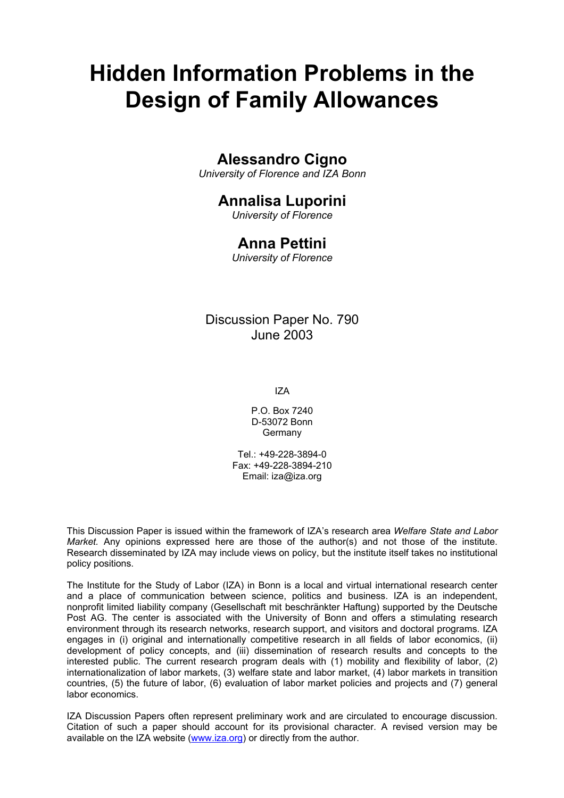# **Hidden Information Problems in the Design of Family Allowances**

## **Alessandro Cigno**

*University of Florence and IZA Bonn* 

## **Annalisa Luporini**

*University of Florence* 

### **Anna Pettini**

*University of Florence* 

Discussion Paper No. 790 June 2003

IZA

P.O. Box 7240 D-53072 Bonn Germany

Tel.: +49-228-3894-0 Fax: +49-228-3894-210 Email: [iza@iza.org](mailto:iza@iza.org)

This Discussion Paper is issued within the framework of IZA's research area *Welfare State and Labor Market.* Any opinions expressed here are those of the author(s) and not those of the institute. Research disseminated by IZA may include views on policy, but the institute itself takes no institutional policy positions.

The Institute for the Study of Labor (IZA) in Bonn is a local and virtual international research center and a place of communication between science, politics and business. IZA is an independent, nonprofit limited liability company (Gesellschaft mit beschränkter Haftung) supported by the Deutsche Post AG. The center is associated with the University of Bonn and offers a stimulating research environment through its research networks, research support, and visitors and doctoral programs. IZA engages in (i) original and internationally competitive research in all fields of labor economics, (ii) development of policy concepts, and (iii) dissemination of research results and concepts to the interested public. The current research program deals with (1) mobility and flexibility of labor, (2) internationalization of labor markets, (3) welfare state and labor market, (4) labor markets in transition countries, (5) the future of labor, (6) evaluation of labor market policies and projects and (7) general labor economics.

IZA Discussion Papers often represent preliminary work and are circulated to encourage discussion. Citation of such a paper should account for its provisional character. A revised version may be available on the IZA website ([www.iza.org](http://www.iza.org/)) or directly from the author.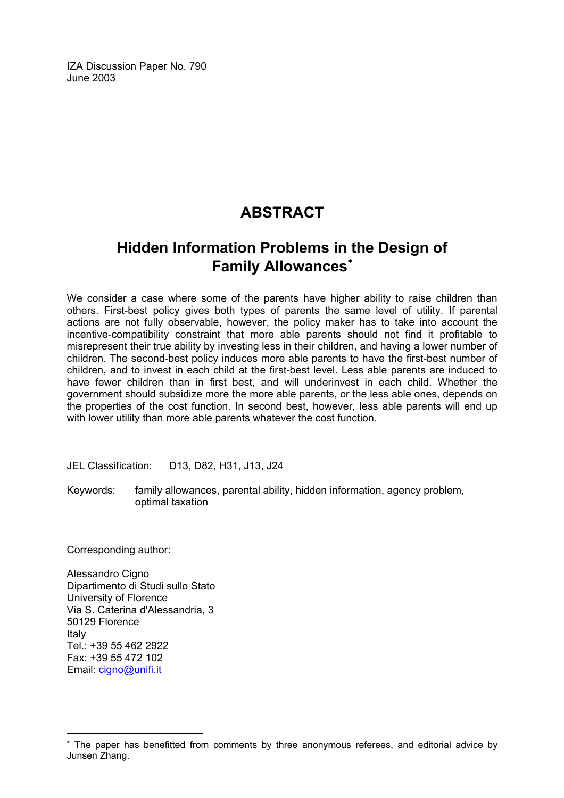IZA Discussion Paper No. 790 June 2003

# **ABSTRACT**

# **Hidden Information Problems in the Design of Family Allowances**[∗](#page-2-0)

We consider a case where some of the parents have higher ability to raise children than others. First-best policy gives both types of parents the same level of utility. If parental actions are not fully observable, however, the policy maker has to take into account the incentive-compatibility constraint that more able parents should not find it profitable to misrepresent their true ability by investing less in their children, and having a lower number of children. The second-best policy induces more able parents to have the first-best number of children, and to invest in each child at the first-best level. Less able parents are induced to have fewer children than in first best, and will underinvest in each child. Whether the government should subsidize more the more able parents, or the less able ones, depends on the properties of the cost function. In second best, however, less able parents will end up with lower utility than more able parents whatever the cost function.

JEL Classification: D13, D82, H31, J13, J24

Keywords: family allowances, parental ability, hidden information, agency problem, optimal taxation

Corresponding author:

 $\overline{a}$ 

Alessandro Cigno Dipartimento di Studi sullo Stato University of Florence Via S. Caterina d'Alessandria, 3 50129 Florence Italy Tel.: +39 55 462 2922 Fax: +39 55 472 102 Email: [cigno@unifi.it](mailto:cigno@unifi.it)

<span id="page-2-0"></span><sup>∗</sup> The paper has benefitted from comments by three anonymous referees, and editorial advice by Junsen Zhang.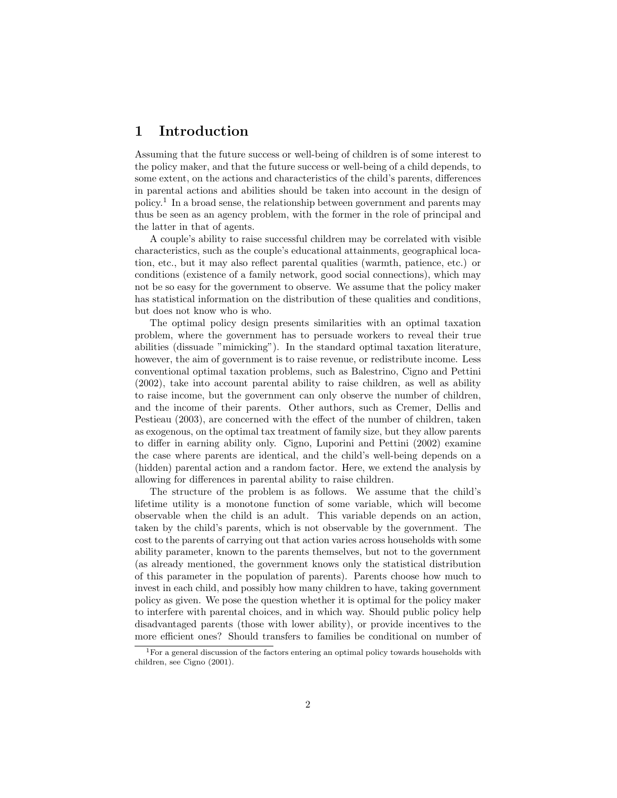#### 1 Introduction

Assuming that the future success or well-being of children is of some interest to the policy maker, and that the future success or well-being of a child depends, to some extent, on the actions and characteristics of the child's parents, differences in parental actions and abilities should be taken into account in the design of policy.<sup>1</sup> In a broad sense, the relationship between government and parents may thus be seen as an agency problem, with the former in the role of principal and the latter in that of agents.

A couple's ability to raise successful children may be correlated with visible characteristics, such as the couple's educational attainments, geographical location, etc., but it may also reflect parental qualities (warmth, patience, etc.) or conditions (existence of a family network, good social connections), which may not be so easy for the government to observe. We assume that the policy maker has statistical information on the distribution of these qualities and conditions, but does not know who is who.

The optimal policy design presents similarities with an optimal taxation problem, where the government has to persuade workers to reveal their true abilities (dissuade "mimicking"). In the standard optimal taxation literature, however, the aim of government is to raise revenue, or redistribute income. Less conventional optimal taxation problems, such as Balestrino, Cigno and Pettini (2002), take into account parental ability to raise children, as well as ability to raise income, but the government can only observe the number of children, and the income of their parents. Other authors, such as Cremer, Dellis and Pestieau (2003), are concerned with the effect of the number of children, taken as exogenous, on the optimal tax treatment of family size, but they allow parents to differ in earning ability only. Cigno, Luporini and Pettini (2002) examine the case where parents are identical, and the child's well-being depends on a (hidden) parental action and a random factor. Here, we extend the analysis by allowing for differences in parental ability to raise children.

The structure of the problem is as follows. We assume that the child's lifetime utility is a monotone function of some variable, which will become observable when the child is an adult. This variable depends on an action, taken by the child's parents, which is not observable by the government. The cost to the parents of carrying out that action varies across households with some ability parameter, known to the parents themselves, but not to the government (as already mentioned, the government knows only the statistical distribution of this parameter in the population of parents). Parents choose how much to invest in each child, and possibly how many children to have, taking government policy as given. We pose the question whether it is optimal for the policy maker to interfere with parental choices, and in which way. Should public policy help disadvantaged parents (those with lower ability), or provide incentives to the more efficient ones? Should transfers to families be conditional on number of

<sup>1</sup>For a general discussion of the factors entering an optimal policy towards households with children, see Cigno (2001).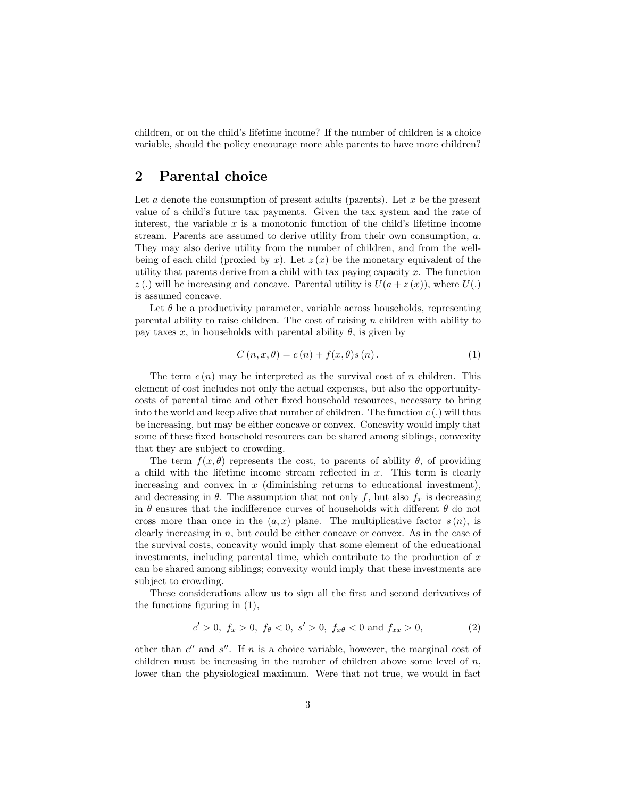children, or on the child's lifetime income? If the number of children is a choice variable, should the policy encourage more able parents to have more children?

#### 2 Parental choice

Let  $a$  denote the consumption of present adults (parents). Let  $x$  be the present value of a child's future tax payments. Given the tax system and the rate of interest, the variable  $x$  is a monotonic function of the child's lifetime income stream. Parents are assumed to derive utility from their own consumption, a. They may also derive utility from the number of children, and from the wellbeing of each child (proxied by x). Let  $z(x)$  be the monetary equivalent of the utility that parents derive from a child with tax paying capacity  $x$ . The function  $z(.)$  will be increasing and concave. Parental utility is  $U(a + z(x))$ , where  $U(.)$ is assumed concave.

Let  $\theta$  be a productivity parameter, variable across households, representing parental ability to raise children. The cost of raising  $n$  children with ability to pay taxes x, in households with parental ability  $\theta$ , is given by

$$
C(n, x, \theta) = c(n) + f(x, \theta)s(n).
$$
\n<sup>(1)</sup>

The term  $c(n)$  may be interpreted as the survival cost of n children. This element of cost includes not only the actual expenses, but also the opportunitycosts of parental time and other fixed household resources, necessary to bring into the world and keep alive that number of children. The function  $c(.)$  will thus be increasing, but may be either concave or convex. Concavity would imply that some of these fixed household resources can be shared among siblings, convexity that they are subject to crowding.

The term  $f(x, \theta)$  represents the cost, to parents of ability  $\theta$ , of providing a child with the lifetime income stream reflected in  $x$ . This term is clearly increasing and convex in  $x$  (diminishing returns to educational investment), and decreasing in  $\theta$ . The assumption that not only f, but also  $f_x$  is decreasing in  $\theta$  ensures that the indifference curves of households with different  $\theta$  do not cross more than once in the  $(a, x)$  plane. The multiplicative factor  $s(n)$ , is clearly increasing in  $n$ , but could be either concave or convex. As in the case of the survival costs, concavity would imply that some element of the educational investments, including parental time, which contribute to the production of  $x$ can be shared among siblings; convexity would imply that these investments are subject to crowding.

These considerations allow us to sign all the first and second derivatives of the functions figuring in (1),

$$
c' > 0, f_x > 0, f_{\theta} < 0, s' > 0, f_{x\theta} < 0 \text{ and } f_{xx} > 0,
$$
 (2)

other than  $c''$  and  $s''$ . If n is a choice variable, however, the marginal cost of children must be increasing in the number of children above some level of  $n$ , lower than the physiological maximum. Were that not true, we would in fact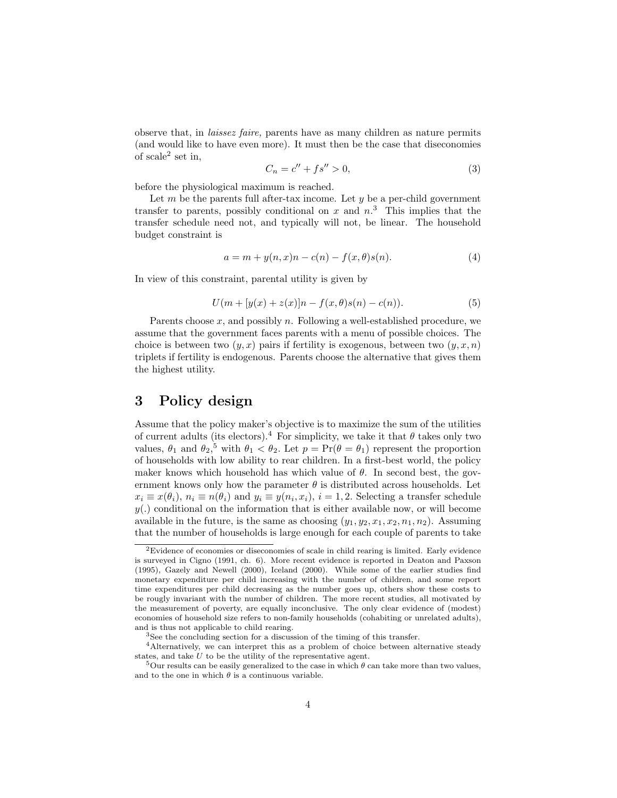observe that, in laissez faire, parents have as many children as nature permits (and would like to have even more). It must then be the case that diseconomies of  $scale<sup>2</sup> set in,$ 

$$
C_n = c'' + fs'' > 0,
$$
\n(3)

before the physiological maximum is reached.

Let  $m$  be the parents full after-tax income. Let  $y$  be a per-child government transfer to parents, possibly conditional on x and  $n^3$ . This implies that the transfer schedule need not, and typically will not, be linear. The household budget constraint is

$$
a = m + y(n, x)n - c(n) - f(x, \theta)s(n). \tag{4}
$$

In view of this constraint, parental utility is given by

$$
U(m + [y(x) + z(x)]n - f(x, \theta)s(n) - c(n)).
$$
\n(5)

Parents choose  $x$ , and possibly  $n$ . Following a well-established procedure, we assume that the government faces parents with a menu of possible choices. The choice is between two  $(y, x)$  pairs if fertility is exogenous, between two  $(y, x, n)$ triplets if fertility is endogenous. Parents choose the alternative that gives them the highest utility.

#### 3 Policy design

Assume that the policy maker's objective is to maximize the sum of the utilities of current adults (its electors).<sup>4</sup> For simplicity, we take it that  $\theta$  takes only two values,  $\theta_1$  and  $\theta_2$ ,<sup>5</sup> with  $\theta_1 < \theta_2$ . Let  $p = \Pr(\theta = \theta_1)$  represent the proportion of households with low ability to rear children. In a first-best world, the policy maker knows which household has which value of  $\theta$ . In second best, the government knows only how the parameter  $\theta$  is distributed across households. Let  $x_i \equiv x(\theta_i)$ ,  $n_i \equiv n(\theta_i)$  and  $y_i \equiv y(n_i, x_i)$ ,  $i = 1, 2$ . Selecting a transfer schedule  $y(.)$  conditional on the information that is either available now, or will become available in the future, is the same as choosing  $(y_1, y_2, x_1, x_2, n_1, n_2)$ . Assuming that the number of households is large enough for each couple of parents to take

<sup>2</sup>Evidence of economies or diseconomies of scale in child rearing is limited. Early evidence is surveyed in Cigno (1991, ch. 6). More recent evidence is reported in Deaton and Paxson (1995), Gazely and Newell (2000), Iceland (2000). While some of the earlier studies find monetary expenditure per child increasing with the number of children, and some report time expenditures per child decreasing as the number goes up, others show these costs to be rougly invariant with the number of children. The more recent studies, all motivated by the measurement of poverty, are equally inconclusive. The only clear evidence of (modest) economies of household size refers to non-family households (cohabiting or unrelated adults), and is thus not applicable to child rearing.

<sup>3</sup>See the concluding section for a discussion of the timing of this transfer.

<sup>&</sup>lt;sup>4</sup>Alternatively, we can interpret this as a problem of choice between alternative steady states, and take U to be the utility of the representative agent.

<sup>&</sup>lt;sup>5</sup>Our results can be easily generalized to the case in which  $\theta$  can take more than two values, and to the one in which  $\theta$  is a continuous variable.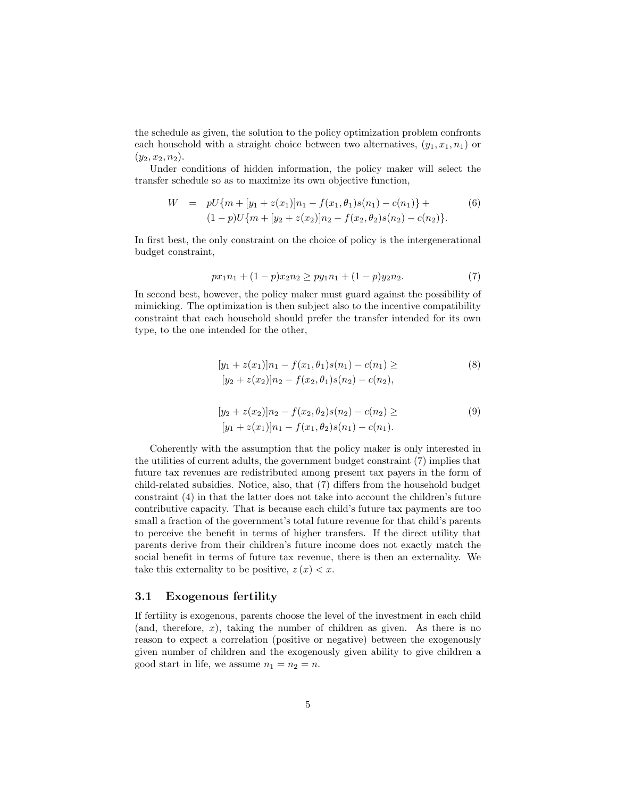the schedule as given, the solution to the policy optimization problem confronts each household with a straight choice between two alternatives,  $(y_1, x_1, n_1)$  or  $(y_2, x_2, n_2).$ 

Under conditions of hidden information, the policy maker will select the transfer schedule so as to maximize its own objective function,

$$
W = pU\{m + [y_1 + z(x_1)]n_1 - f(x_1, \theta_1)s(n_1) - c(n_1)\} +
$$
  

$$
(1-p)U\{m + [y_2 + z(x_2)]n_2 - f(x_2, \theta_2)s(n_2) - c(n_2)\}.
$$
 (6)

In first best, the only constraint on the choice of policy is the intergenerational budget constraint,

$$
px_1n_1 + (1-p)x_2n_2 \geq py_1n_1 + (1-p)y_2n_2. \tag{7}
$$

In second best, however, the policy maker must guard against the possibility of mimicking. The optimization is then subject also to the incentive compatibility constraint that each household should prefer the transfer intended for its own type, to the one intended for the other,

$$
[y_1 + z(x_1)]n_1 - f(x_1, \theta_1)s(n_1) - c(n_1) \ge
$$
  
\n
$$
[y_2 + z(x_2)]n_2 - f(x_2, \theta_1)s(n_2) - c(n_2),
$$
\n(8)

$$
[y_2 + z(x_2)]n_2 - f(x_2, \theta_2)s(n_2) - c(n_2) \geq
$$
  
\n
$$
[y_1 + z(x_1)]n_1 - f(x_1, \theta_2)s(n_1) - c(n_1).
$$
\n(9)

Coherently with the assumption that the policy maker is only interested in the utilities of current adults, the government budget constraint (7) implies that future tax revenues are redistributed among present tax payers in the form of child-related subsidies. Notice, also, that (7) differs from the household budget constraint (4) in that the latter does not take into account the children's future contributive capacity. That is because each child's future tax payments are too small a fraction of the government's total future revenue for that child's parents to perceive the benefit in terms of higher transfers. If the direct utility that parents derive from their children's future income does not exactly match the social benefit in terms of future tax revenue, there is then an externality. We take this externality to be positive,  $z(x) < x$ .

#### 3.1 Exogenous fertility

If fertility is exogenous, parents choose the level of the investment in each child (and, therefore,  $x$ ), taking the number of children as given. As there is no reason to expect a correlation (positive or negative) between the exogenously given number of children and the exogenously given ability to give children a good start in life, we assume  $n_1 = n_2 = n$ .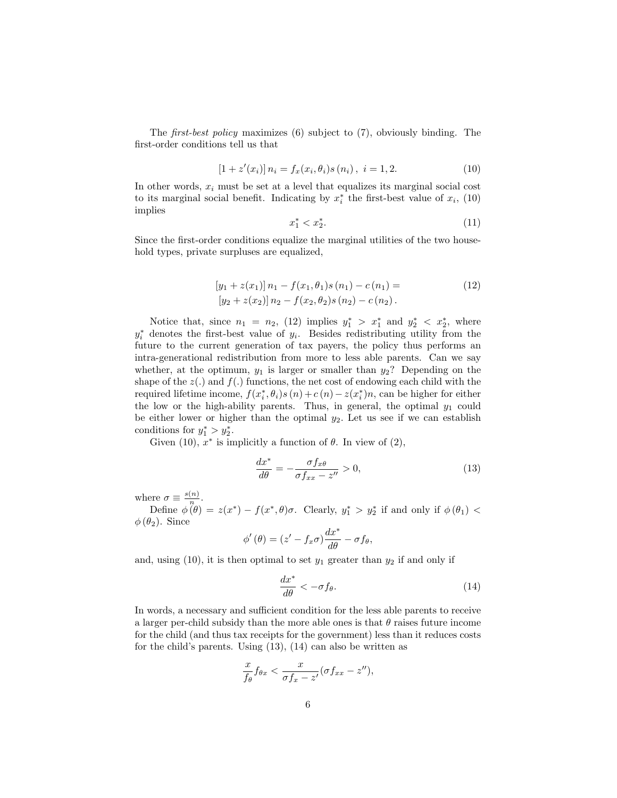The first-best policy maximizes (6) subject to (7), obviously binding. The first-order conditions tell us that

$$
[1 + z'(x_i)] n_i = f_x(x_i, \theta_i) s(n_i), \ i = 1, 2.
$$
 (10)

In other words,  $x_i$  must be set at a level that equalizes its marginal social cost to its marginal social benefit. Indicating by  $x_i^*$  the first-best value of  $x_i$ , (10) implies

$$
x_1^* < x_2^*.\tag{11}
$$

Since the first-order conditions equalize the marginal utilities of the two household types, private surpluses are equalized,

$$
[y_1 + z(x_1)] n_1 - f(x_1, \theta_1)s(n_1) - c(n_1) =
$$
  
\n
$$
[y_2 + z(x_2)] n_2 - f(x_2, \theta_2)s(n_2) - c(n_2).
$$
\n(12)

Notice that, since  $n_1 = n_2$ , (12) implies  $y_1^* > x_1^*$  and  $y_2^* < x_2^*$ , where  $y_i^*$  denotes the first-best value of  $y_i$ . Besides redistributing utility from the future to the current generation of tax payers, the policy thus performs an intra-generational redistribution from more to less able parents. Can we say whether, at the optimum,  $y_1$  is larger or smaller than  $y_2$ ? Depending on the shape of the  $z(.)$  and  $f(.)$  functions, the net cost of endowing each child with the required lifetime income,  $f(x_i^*, \theta_i) s(n) + c(n) - z(x_i^*)n$ , can be higher for either the low or the high-ability parents. Thus, in general, the optimal  $y_1$  could be either lower or higher than the optimal  $y_2$ . Let us see if we can establish conditions for  $y_1^* > y_2^*$ .

Given (10),  $x^*$  is implicitly a function of  $\theta$ . In view of (2),

$$
\frac{dx^*}{d\theta} = -\frac{\sigma f_{x\theta}}{\sigma f_{xx} - z''} > 0,\tag{13}
$$

where  $\sigma \equiv \frac{s(n)}{n}$  $\frac{(n)}{n}$ .

Define  $\phi(\theta) = z(x^*) - f(x^*, \theta)\sigma$ . Clearly,  $y_1^* > y_2^*$  if and only if  $\phi(\theta_1)$  <  $\phi(\theta_2)$ . Since

$$
\phi'(\theta) = (z' - f_x \sigma) \frac{dx^*}{d\theta} - \sigma f_\theta,
$$

and, using (10), it is then optimal to set  $y_1$  greater than  $y_2$  if and only if

$$
\frac{dx^*}{d\theta} < -\sigma f_\theta. \tag{14}
$$

In words, a necessary and sufficient condition for the less able parents to receive a larger per-child subsidy than the more able ones is that  $\theta$  raises future income for the child (and thus tax receipts for the government) less than it reduces costs for the child's parents. Using (13), (14) can also be written as

$$
\frac{x}{f_{\theta}}f_{\theta x} < \frac{x}{\sigma f_x - z'}(\sigma f_{xx} - z''),
$$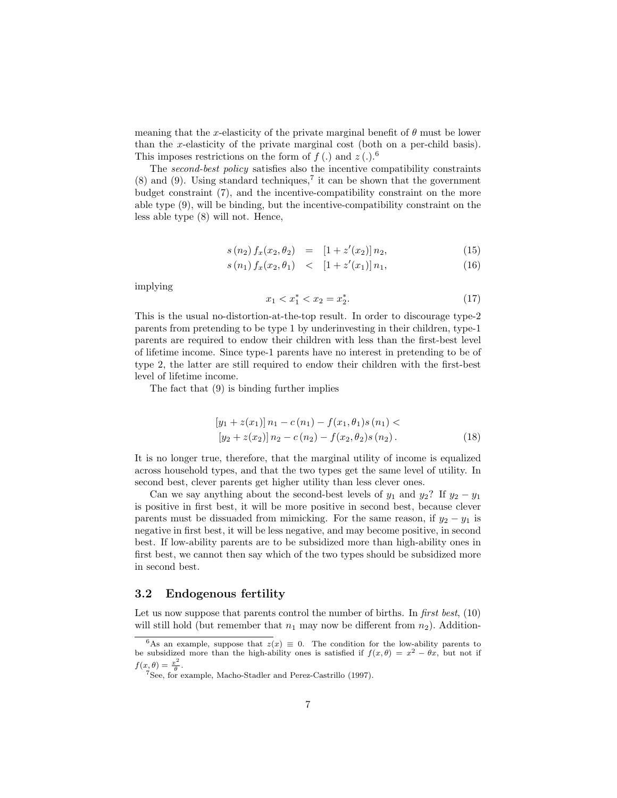meaning that the x-elasticity of the private marginal benefit of  $\theta$  must be lower than the x-elasticity of the private marginal cost (both on a per-child basis). This imposes restrictions on the form of  $f(.)$  and  $z(.)$ .<sup>6</sup>

The second-best policy satisfies also the incentive compatibility constraints  $(8)$  and  $(9)$ . Using standard techniques,<sup>7</sup> it can be shown that the government budget constraint (7), and the incentive-compatibility constraint on the more able type (9), will be binding, but the incentive-compatibility constraint on the less able type (8) will not. Hence,

$$
s(n_2) f_x(x_2, \theta_2) = [1 + z'(x_2)] n_2, \tag{15}
$$

$$
s(n_1) f_x(x_2, \theta_1) \quad < \quad [1 + z'(x_1)] \, n_1,\tag{16}
$$

implying

$$
x_1 < x_1^* < x_2 = x_2^*.\tag{17}
$$

This is the usual no-distortion-at-the-top result. In order to discourage type-2 parents from pretending to be type 1 by underinvesting in their children, type-1 parents are required to endow their children with less than the first-best level of lifetime income. Since type-1 parents have no interest in pretending to be of type 2, the latter are still required to endow their children with the first-best level of lifetime income.

The fact that (9) is binding further implies

$$
[y_1 + z(x_1)] n_1 - c(n_1) - f(x_1, \theta_1)s(n_1) [y_2 + z(x_2)] n_2 - c(n_2) - f(x_2, \theta_2)s(n_2).
$$
 (18)

It is no longer true, therefore, that the marginal utility of income is equalized across household types, and that the two types get the same level of utility. In second best, clever parents get higher utility than less clever ones.

Can we say anything about the second-best levels of  $y_1$  and  $y_2$ ? If  $y_2 - y_1$ is positive in first best, it will be more positive in second best, because clever parents must be dissuaded from mimicking. For the same reason, if  $y_2 - y_1$  is negative in first best, it will be less negative, and may become positive, in second best. If low-ability parents are to be subsidized more than high-ability ones in first best, we cannot then say which of the two types should be subsidized more in second best.

#### 3.2 Endogenous fertility

Let us now suppose that parents control the number of births. In *first best*,  $(10)$ will still hold (but remember that  $n_1$  may now be different from  $n_2$ ). Addition-

<sup>&</sup>lt;sup>6</sup>As an example, suppose that  $z(x) \equiv 0$ . The condition for the low-ability parents to be subsidized more than the high-ability ones is satisfied if  $f(x, \theta) = x^2 - \theta x$ , but not if  $f(x, \theta) = \frac{x^2}{\theta}$  $\frac{c^2}{\theta}$  .

<sup>7</sup>See, for example, Macho-Stadler and Perez-Castrillo (1997).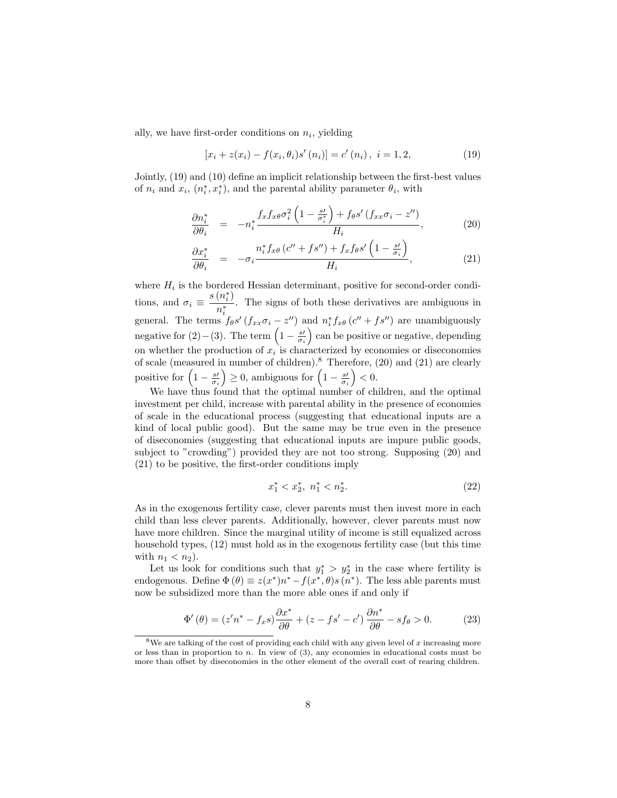ally, we have first-order conditions on  $n_i$ , yielding

$$
[x_i + z(x_i) - f(x_i, \theta_i)s'(n_i)] = c'(n_i), \ i = 1, 2,
$$
\n(19)

Jointly, (19) and (10) define an implicit relationship between the first-best values of  $n_i$  and  $x_i$ ,  $(n_i^*, x_i^*)$ , and the parental ability parameter  $\theta_i$ , with

$$
\frac{\partial n_i^*}{\partial \theta_i} = -n_i^* \frac{f_x f_{x\theta} \sigma_i^2 \left(1 - \frac{s'}{\sigma_i^*}\right) + f_{\theta} s' \left(f_{xx} \sigma_i - z''\right)}{H_i},\tag{20}
$$

$$
\frac{\partial x_i^*}{\partial \theta_i} = -\sigma_i \frac{n_i^* f_{x\theta} (c'' + fs'') + f_x f_{\theta} s' \left(1 - \frac{s'}{\sigma_i}\right)}{H_i},\tag{21}
$$

where  $H_i$  is the bordered Hessian determinant, positive for second-order conditions, and  $\sigma_i \equiv \frac{s(n_i^*)}{n_i^*}$  $\frac{\partial^{(n)}(n)}{\partial n_i^*}$ . The signs of both these derivatives are ambiguous in general. The terms  $f_{\theta} s' (f_{xx} \sigma_i - z'')$  and  $n_i^* f_{x\theta} (c'' + fs'')$  are unambiguously general. The terms  $J_{\theta}S$   $(J_{xx}\sigma_i - z^{\alpha})$  and  $n_i J_{x\theta}$  ( $c^{\alpha} + J_{\theta}S^{\alpha}$ ) are unamorguously negative for  $(2) - (3)$ . The term  $\left(1 - \frac{s'}{\sigma_i}\right)$  can be positive or negative, depending on whether the production of  $x_i$  is characterized by economies or diseconomies of scale (measured in number of children).<sup>8</sup> Therefore,  $(20)$  and  $(21)$  are clearly or scale (measured in number of children). Therefore, (<br>positive for  $\left(1 - \frac{s'}{\sigma_i}\right) \ge 0$ , ambiguous for  $\left(1 - \frac{s'}{\sigma_i}\right) < 0$ .

We have thus found that the optimal number of children, and the optimal investment per child, increase with parental ability in the presence of economies of scale in the educational process (suggesting that educational inputs are a kind of local public good). But the same may be true even in the presence of diseconomies (suggesting that educational inputs are impure public goods, subject to "crowding") provided they are not too strong. Supposing (20) and (21) to be positive, the first-order conditions imply

$$
x_1^* < x_2^*, \, n_1^* < n_2^*.\tag{22}
$$

As in the exogenous fertility case, clever parents must then invest more in each child than less clever parents. Additionally, however, clever parents must now have more children. Since the marginal utility of income is still equalized across household types, (12) must hold as in the exogenous fertility case (but this time with  $n_1 < n_2$ ).

Let us look for conditions such that  $y_1^* > y_2^*$  in the case where fertility is endogenous. Define  $\Phi(\theta) \equiv z(x^*)n^* - f(x^*,\theta)s(n^*)$ . The less able parents must now be subsidized more than the more able ones if and only if

$$
\Phi'(\theta) = (z'n^* - f_x s)\frac{\partial x^*}{\partial \theta} + (z - fs' - c')\frac{\partial n^*}{\partial \theta} - sf_\theta > 0.
$$
 (23)

<sup>&</sup>lt;sup>8</sup>We are talking of the cost of providing each child with any given level of x increasing more or less than in proportion to n. In view of (3), any economies in educational costs must be more than offset by diseconomies in the other element of the overall cost of rearing children.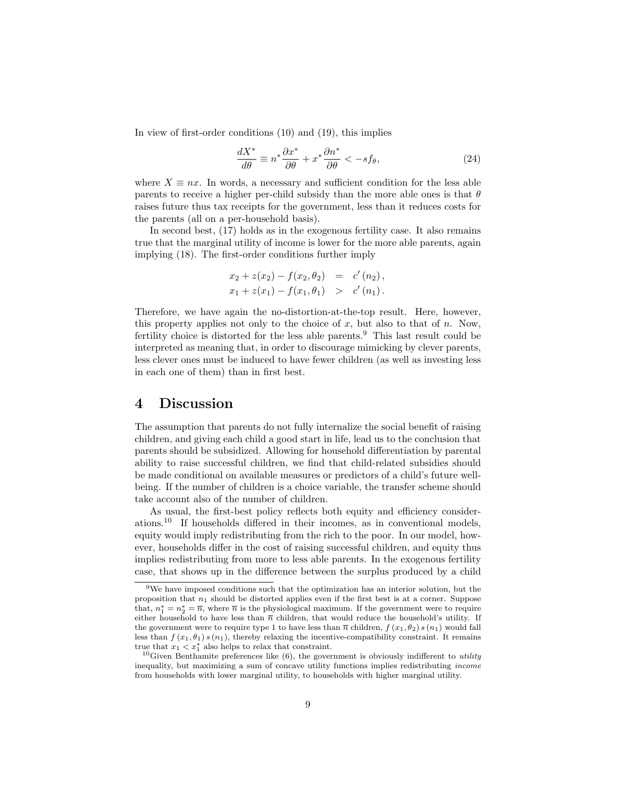In view of first-order conditions (10) and (19), this implies

$$
\frac{dX^*}{d\theta} \equiv n^* \frac{\partial x^*}{\partial \theta} + x^* \frac{\partial n^*}{\partial \theta} < -sf_\theta,\tag{24}
$$

where  $X \equiv nx$ . In words, a necessary and sufficient condition for the less able parents to receive a higher per-child subsidy than the more able ones is that  $\theta$ raises future thus tax receipts for the government, less than it reduces costs for the parents (all on a per-household basis).

In second best, (17) holds as in the exogenous fertility case. It also remains true that the marginal utility of income is lower for the more able parents, again implying (18). The first-order conditions further imply

$$
x_2 + z(x_2) - f(x_2, \theta_2) = c'(n_2),
$$
  

$$
x_1 + z(x_1) - f(x_1, \theta_1) > c'(n_1).
$$

Therefore, we have again the no-distortion-at-the-top result. Here, however, this property applies not only to the choice of  $x$ , but also to that of  $n$ . Now, fertility choice is distorted for the less able parents.<sup>9</sup> This last result could be interpreted as meaning that, in order to discourage mimicking by clever parents, less clever ones must be induced to have fewer children (as well as investing less in each one of them) than in first best.

#### 4 Discussion

The assumption that parents do not fully internalize the social benefit of raising children, and giving each child a good start in life, lead us to the conclusion that parents should be subsidized. Allowing for household differentiation by parental ability to raise successful children, we find that child-related subsidies should be made conditional on available measures or predictors of a child's future wellbeing. If the number of children is a choice variable, the transfer scheme should take account also of the number of children.

As usual, the first-best policy reflects both equity and efficiency considerations.<sup>10</sup> If households differed in their incomes, as in conventional models, equity would imply redistributing from the rich to the poor. In our model, however, households differ in the cost of raising successful children, and equity thus implies redistributing from more to less able parents. In the exogenous fertility case, that shows up in the difference between the surplus produced by a child

<sup>9</sup>We have imposed conditions such that the optimization has an interior solution, but the proposition that  $n_1$  should be distorted applies even if the first best is at a corner. Suppose that,  $n_1^* = n_2^* = \overline{n}$ , where  $\overline{n}$  is the physiological maximum. If the government were to require either household to have less than  $\bar{n}$  children, that would reduce the household's utility. If the government were to require type 1 to have less than  $\bar{n}$  children,  $f(x_1, \theta_2) s(n_1)$  would fall less than  $f(x_1, \theta_1) s(n_1)$ , thereby relaxing the incentive-compatibility constraint. It remains true that  $x_1 < x_1^*$  also helps to relax that constraint.

<sup>&</sup>lt;sup>10</sup>Given Benthamite preferences like  $(6)$ , the government is obviously indifferent to *utility* inequality, but maximizing a sum of concave utility functions implies redistributing income from households with lower marginal utility, to households with higher marginal utility.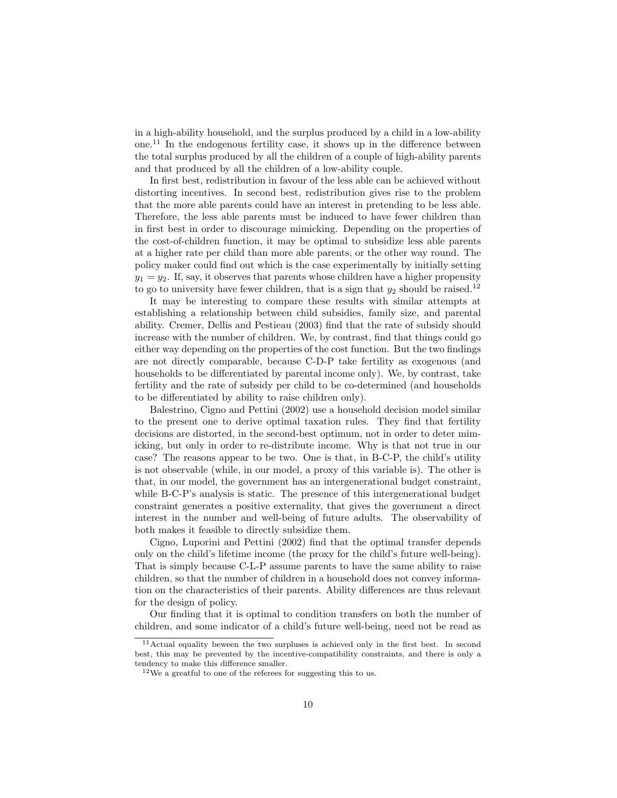in a high-ability household, and the surplus produced by a child in a low-ability one.<sup>11</sup> In the endogenous fertility case, it shows up in the difference between the total surplus produced by all the children of a couple of high-ability parents and that produced by all the children of a low-ability couple.

In first best, redistribution in favour of the less able can be achieved without distorting incentives. In second best, redistribution gives rise to the problem that the more able parents could have an interest in pretending to be less able. Therefore, the less able parents must be induced to have fewer children than in first best in order to discourage mimicking. Depending on the properties of the cost-of-children function, it may be optimal to subsidize less able parents at a higher rate per child than more able parents, or the other way round. The policy maker could find out which is the case experimentally by initially setting  $y_1 = y_2$ . If, say, it observes that parents whose children have a higher propensity to go to university have fewer children, that is a sign that  $y_2$  should be raised.<sup>12</sup>

It may be interesting to compare these results with similar attempts at establishing a relationship between child subsidies, family size, and parental ability. Cremer, Dellis and Pestieau (2003) find that the rate of subsidy should increase with the number of children. We, by contrast, find that things could go either way depending on the properties of the cost function. But the two findings are not directly comparable, because C-D-P take fertility as exogenous (and households to be differentiated by parental income only). We, by contrast, take fertility and the rate of subsidy per child to be co-determined (and households to be differentiated by ability to raise children only).

Balestrino, Cigno and Pettini (2002) use a household decision model similar to the present one to derive optimal taxation rules. They find that fertility decisions are distorted, in the second-best optimum, not in order to deter mimicking, but only in order to re-distribute income. Why is that not true in our case? The reasons appear to be two. One is that, in B-C-P, the child's utility is not observable (while, in our model, a proxy of this variable is). The other is that, in our model, the government has an intergenerational budget constraint, while B-C-P's analysis is static. The presence of this intergenerational budget constraint generates a positive externality, that gives the government a direct interest in the number and well-being of future adults. The observability of both makes it feasible to directly subsidize them.

Cigno, Luporini and Pettini (2002) find that the optimal transfer depends only on the child's lifetime income (the proxy for the child's future well-being). That is simply because C-L-P assume parents to have the same ability to raise children, so that the number of children in a household does not convey information on the characteristics of their parents. Ability differences are thus relevant for the design of policy.

Our finding that it is optimal to condition transfers on both the number of children, and some indicator of a child's future well-being, need not be read as

 $11$ Actual equality beween the two surpluses is achieved only in the first best. In second best, this may be prevented by the incentive-compatibility constraints, and there is only a tendency to make this difference smaller.

<sup>12</sup>We a greatful to one of the referees for suggesting this to us.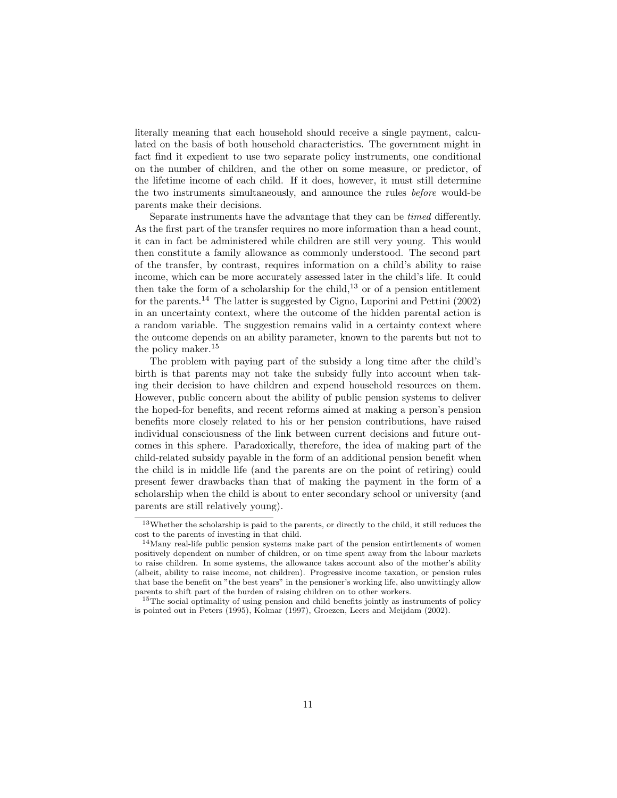literally meaning that each household should receive a single payment, calculated on the basis of both household characteristics. The government might in fact find it expedient to use two separate policy instruments, one conditional on the number of children, and the other on some measure, or predictor, of the lifetime income of each child. If it does, however, it must still determine the two instruments simultaneously, and announce the rules before would-be parents make their decisions.

Separate instruments have the advantage that they can be timed differently. As the first part of the transfer requires no more information than a head count, it can in fact be administered while children are still very young. This would then constitute a family allowance as commonly understood. The second part of the transfer, by contrast, requires information on a child's ability to raise income, which can be more accurately assessed later in the child's life. It could then take the form of a scholarship for the child, $13$  or of a pension entitlement for the parents.<sup>14</sup> The latter is suggested by Cigno, Luporini and Pettini  $(2002)$ in an uncertainty context, where the outcome of the hidden parental action is a random variable. The suggestion remains valid in a certainty context where the outcome depends on an ability parameter, known to the parents but not to the policy maker.<sup>15</sup>

The problem with paying part of the subsidy a long time after the child's birth is that parents may not take the subsidy fully into account when taking their decision to have children and expend household resources on them. However, public concern about the ability of public pension systems to deliver the hoped-for benefits, and recent reforms aimed at making a person's pension benefits more closely related to his or her pension contributions, have raised individual consciousness of the link between current decisions and future outcomes in this sphere. Paradoxically, therefore, the idea of making part of the child-related subsidy payable in the form of an additional pension benefit when the child is in middle life (and the parents are on the point of retiring) could present fewer drawbacks than that of making the payment in the form of a scholarship when the child is about to enter secondary school or university (and parents are still relatively young).

<sup>13</sup>Whether the scholarship is paid to the parents, or directly to the child, it still reduces the cost to the parents of investing in that child.

<sup>&</sup>lt;sup>14</sup>Many real-life public pension systems make part of the pension entirtlements of women positively dependent on number of children, or on time spent away from the labour markets to raise children. In some systems, the allowance takes account also of the mother's ability (albeit, ability to raise income, not children). Progressive income taxation, or pension rules that base the benefit on "the best years" in the pensioner's working life, also unwittingly allow parents to shift part of the burden of raising children on to other workers.

<sup>&</sup>lt;sup>15</sup>The social optimality of using pension and child benefits jointly as instruments of policy is pointed out in Peters (1995), Kolmar (1997), Groezen, Leers and Meijdam (2002).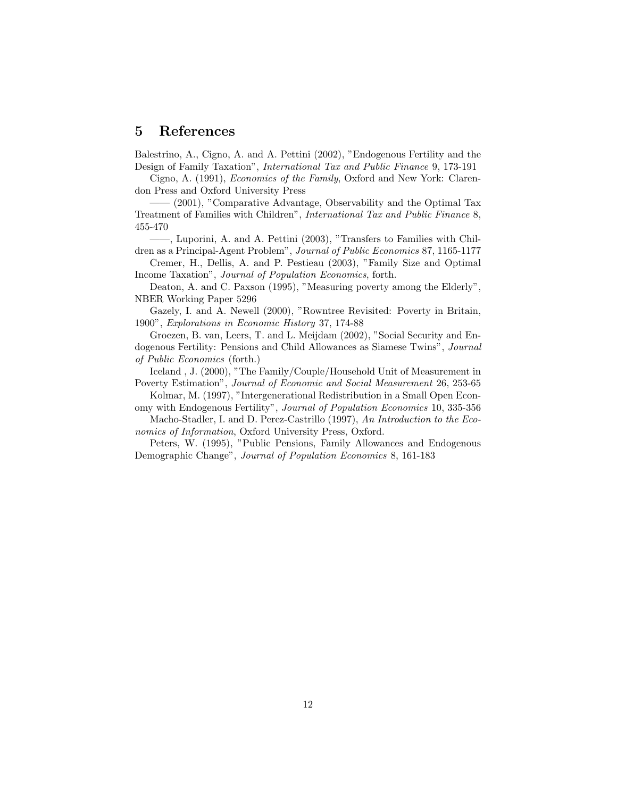#### 5 References

Balestrino, A., Cigno, A. and A. Pettini (2002), "Endogenous Fertility and the Design of Family Taxation", International Tax and Public Finance 9, 173-191

Cigno, A. (1991), Economics of the Family, Oxford and New York: Clarendon Press and Oxford University Press

—— (2001), "Comparative Advantage, Observability and the Optimal Tax Treatment of Families with Children", International Tax and Public Finance 8, 455-470

——, Luporini, A. and A. Pettini (2003), "Transfers to Families with Children as a Principal-Agent Problem", Journal of Public Economics 87, 1165-1177

Cremer, H., Dellis, A. and P. Pestieau (2003), "Family Size and Optimal Income Taxation", Journal of Population Economics, forth.

Deaton, A. and C. Paxson (1995), "Measuring poverty among the Elderly", NBER Working Paper 5296

Gazely, I. and A. Newell (2000), "Rowntree Revisited: Poverty in Britain, 1900", Explorations in Economic History 37, 174-88

Groezen, B. van, Leers, T. and L. Meijdam (2002), "Social Security and Endogenous Fertility: Pensions and Child Allowances as Siamese Twins", Journal of Public Economics (forth.)

Iceland , J. (2000), "The Family/Couple/Household Unit of Measurement in Poverty Estimation", Journal of Economic and Social Measurement 26, 253-65

Kolmar, M. (1997), "Intergenerational Redistribution in a Small Open Economy with Endogenous Fertility", Journal of Population Economics 10, 335-356

Macho-Stadler, I. and D. Perez-Castrillo (1997), An Introduction to the Economics of Information, Oxford University Press, Oxford.

Peters, W. (1995), "Public Pensions, Family Allowances and Endogenous Demographic Change", Journal of Population Economics 8, 161-183